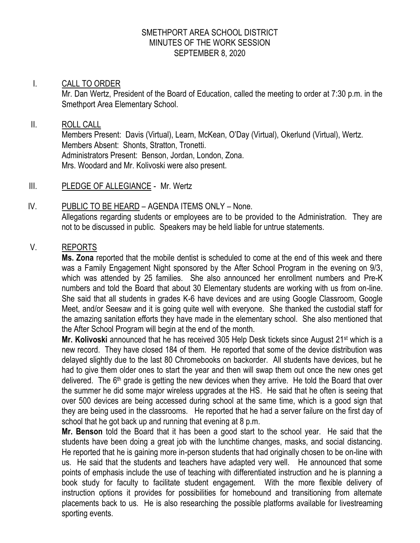### SMETHPORT AREA SCHOOL DISTRICT MINUTES OF THE WORK SESSION SEPTEMBER 8, 2020

### I. CALL TO ORDER

Mr. Dan Wertz, President of the Board of Education, called the meeting to order at 7:30 p.m. in the Smethport Area Elementary School.

#### II. ROLL CALL

Members Present: Davis (Virtual), Learn, McKean, O'Day (Virtual), Okerlund (Virtual), Wertz. Members Absent: Shonts, Stratton, Tronetti. Administrators Present: Benson, Jordan, London, Zona. Mrs. Woodard and Mr. Kolivoski were also present.

- III. PLEDGE OF ALLEGIANCE Mr. Wertz
- IV. PUBLIC TO BE HEARD AGENDA ITEMS ONLY None. Allegations regarding students or employees are to be provided to the Administration. They are not to be discussed in public. Speakers may be held liable for untrue statements.

### V. REPORTS

**Ms. Zona** reported that the mobile dentist is scheduled to come at the end of this week and there was a Family Engagement Night sponsored by the After School Program in the evening on 9/3, which was attended by 25 families. She also announced her enrollment numbers and Pre-K numbers and told the Board that about 30 Elementary students are working with us from on-line. She said that all students in grades K-6 have devices and are using Google Classroom, Google Meet, and/or Seesaw and it is going quite well with everyone. She thanked the custodial staff for the amazing sanitation efforts they have made in the elementary school. She also mentioned that the After School Program will begin at the end of the month.

**Mr. Kolivoski** announced that he has received 305 Help Desk tickets since August 21<sup>st</sup> which is a new record. They have closed 184 of them. He reported that some of the device distribution was delayed slightly due to the last 80 Chromebooks on backorder. All students have devices, but he had to give them older ones to start the year and then will swap them out once the new ones get delivered. The 6<sup>th</sup> grade is getting the new devices when they arrive. He told the Board that over the summer he did some major wireless upgrades at the HS. He said that he often is seeing that over 500 devices are being accessed during school at the same time, which is a good sign that they are being used in the classrooms. He reported that he had a server failure on the first day of school that he got back up and running that evening at 8 p.m.

**Mr. Benson** told the Board that it has been a good start to the school year. He said that the students have been doing a great job with the lunchtime changes, masks, and social distancing. He reported that he is gaining more in-person students that had originally chosen to be on-line with us. He said that the students and teachers have adapted very well. He announced that some points of emphasis include the use of teaching with differentiated instruction and he is planning a book study for faculty to facilitate student engagement. With the more flexible delivery of instruction options it provides for possibilities for homebound and transitioning from alternate placements back to us. He is also researching the possible platforms available for livestreaming sporting events.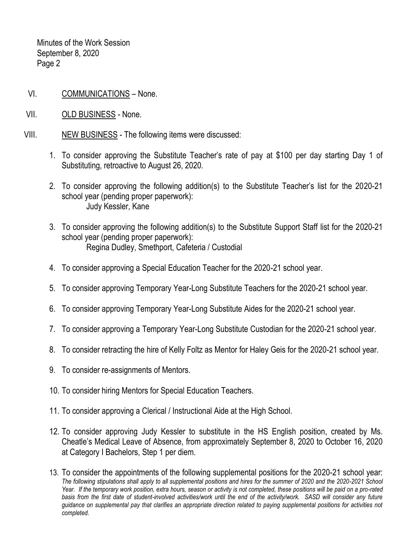Minutes of the Work Session September 8, 2020 Page 2

- VI. COMMUNICATIONS None.
- VII. OLD BUSINESS None.
- VIII. NEW BUSINESS The following items were discussed:
	- 1. To consider approving the Substitute Teacher's rate of pay at \$100 per day starting Day 1 of Substituting, retroactive to August 26, 2020.
	- 2. To consider approving the following addition(s) to the Substitute Teacher's list for the 2020-21 school year (pending proper paperwork): Judy Kessler, Kane
	- 3. To consider approving the following addition(s) to the Substitute Support Staff list for the 2020-21 school year (pending proper paperwork): Regina Dudley, Smethport, Cafeteria / Custodial
	- 4. To consider approving a Special Education Teacher for the 2020-21 school year.
	- 5. To consider approving Temporary Year-Long Substitute Teachers for the 2020-21 school year.
	- 6. To consider approving Temporary Year-Long Substitute Aides for the 2020-21 school year.
	- 7. To consider approving a Temporary Year-Long Substitute Custodian for the 2020-21 school year.
	- 8. To consider retracting the hire of Kelly Foltz as Mentor for Haley Geis for the 2020-21 school year.
	- 9. To consider re-assignments of Mentors.
	- 10. To consider hiring Mentors for Special Education Teachers.
	- 11. To consider approving a Clerical / Instructional Aide at the High School.
	- 12. To consider approving Judy Kessler to substitute in the HS English position, created by Ms. Cheatle's Medical Leave of Absence, from approximately September 8, 2020 to October 16, 2020 at Category I Bachelors, Step 1 per diem.

<sup>13.</sup> To consider the appointments of the following supplemental positions for the 2020-21 school year: *The following stipulations shall apply to all supplemental positions and hires for the summer of 2020 and the 2020-2021 School Year. If the temporary work position, extra hours, season or activity is not completed, these positions will be paid on a pro-rated*  basis from the first date of student-involved activities/work until the end of the activity/work. SASD will consider any future *guidance on supplemental pay that clarifies an appropriate direction related to paying supplemental positions for activities not completed.*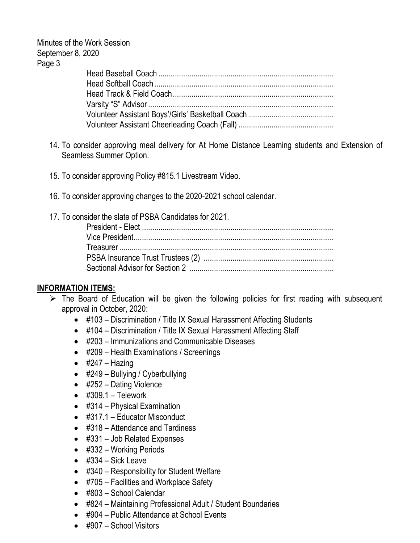Minutes of the Work Session September 8, 2020 Page 3

- 14. To consider approving meal delivery for At Home Distance Learning students and Extension of Seamless Summer Option.
- 15. To consider approving Policy #815.1 Livestream Video.
- 16. To consider approving changes to the 2020-2021 school calendar.
- 17. To consider the slate of PSBA Candidates for 2021.

# **INFORMATION ITEMS:**

- $\triangleright$  The Board of Education will be given the following policies for first reading with subsequent approval in October, 2020:
	- #103 Discrimination / Title IX Sexual Harassment Affecting Students
	- #104 Discrimination / Title IX Sexual Harassment Affecting Staff
	- #203 Immunizations and Communicable Diseases
	- #209 Health Examinations / Screenings
	- $\bullet$  #247 Hazing
	- #249 Bullying / Cyberbullying
	- #252 Dating Violence
	- $\bullet$  #309.1 Telework
	- #314 Physical Examination
	- #317.1 Educator Misconduct
	- #318 Attendance and Tardiness
	- #331 Job Related Expenses
	- #332 Working Periods
	- $\bullet$  #334 Sick Leave
	- #340 Responsibility for Student Welfare
	- #705 Facilities and Workplace Safety
	- #803 School Calendar
	- #824 Maintaining Professional Adult / Student Boundaries
	- #904 Public Attendance at School Events
	- #907 School Visitors